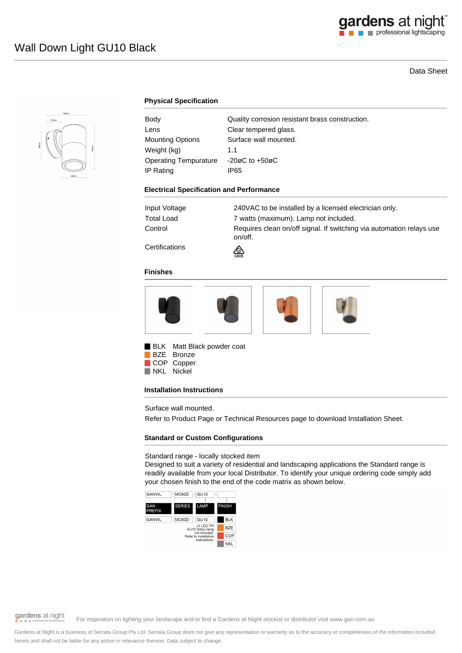# gardens at night

# Data Sheet



## **Physical Specification**

| Body                         | Quality corrosion resistant brass construction. |
|------------------------------|-------------------------------------------------|
| Lens                         | Clear tempered glass.                           |
| <b>Mounting Options</b>      | Surface wall mounted.                           |
| Weight (kg)                  | 11                                              |
| <b>Operating Tempurature</b> | $-20\varnothing$ C to $+50\varnothing$ C        |
| IP Rating                    | IP65                                            |

#### **Electrical Specification and Performance**

| Input Voltage | 240VAC to be installed by a licensed electrician only.                          |
|---------------|---------------------------------------------------------------------------------|
| Total Load    | 7 watts (maximum). Lamp not included.                                           |
| Control       | Requires clean on/off signal. If switching via automation relays use<br>on/off. |
|               |                                                                                 |

**Certifications** 

# **Finishes**



⚠

**BLK** Matt Black powder coat BZE Bronze

COP Copper

NKL Nickel

#### **Installation Instructions**

Surface wall mounted.

Refer to Product Page or Technical Resources page to download Installation Sheet.

#### **Standard or Custom Configurations**

Standard range - locally stocked item

Designed to suit a variety of residential and landscaping applications the Standard range is readily available from your local Distributor. To identify your unique ordering code simply add your chosen finish to the end of the code matrix as shown below.



gardens at night

For inspiration on lighting your landscape and to find a Gardens at Night stockist or distributor visit www.gan.com.au

Gardens at Night is a business of Serrata Group Pty Ltd. Serrata Group does not give any representation or warranty as to the accuracy or completeness of the information included herein and shall not be liable for any action in relevance thereon. Data subject to change.